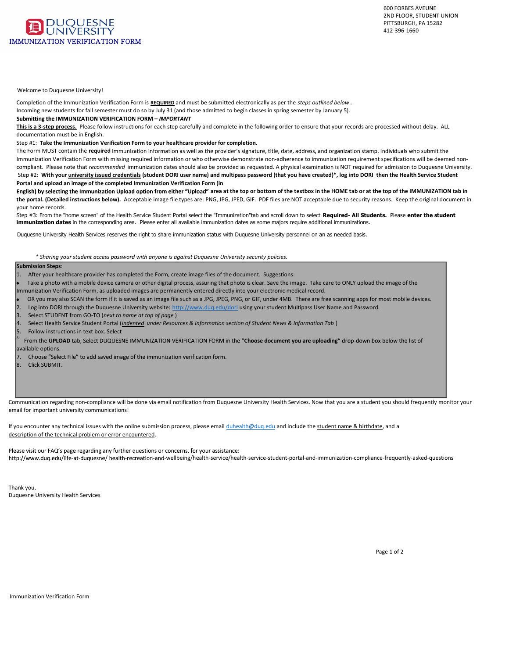

## Welcome to Duquesne University!

|    |                                     | the contract of the contract of                                                                                                                                                                                                |                                                                                                                                        |                          |                       |       |                                   |                                 |                                 |                          |
|----|-------------------------------------|--------------------------------------------------------------------------------------------------------------------------------------------------------------------------------------------------------------------------------|----------------------------------------------------------------------------------------------------------------------------------------|--------------------------|-----------------------|-------|-----------------------------------|---------------------------------|---------------------------------|--------------------------|
|    |                                     | Submitting the IMMUNIZATION VERIFICATION FORM – $@$ U h \ k u $^{\circ}$ V u                                                                                                                                                   |                                                                                                                                        |                          |                       |       |                                   |                                 |                                 |                          |
|    | $\sim$                              | the control of the control of the<br>the contract of                                                                                                                                                                           |                                                                                                                                        |                          |                       |       | the company's company's company's |                                 | the contract of the contract of |                          |
| n. | $\cdots$ $\cdots$ $\cdots$ $\cdots$ |                                                                                                                                                                                                                                |                                                                                                                                        | $\overline{\phantom{a}}$ |                       |       |                                   |                                 |                                 |                          |
|    | UVOU                                |                                                                                                                                                                                                                                | immunization information as well as the provider's signature, title, date, address, and organization stamp. Individuals who submit the |                          |                       |       |                                   |                                 |                                 |                          |
|    | and the state of                    |                                                                                                                                                                                                                                |                                                                                                                                        |                          |                       |       | the company's state of            | the contract of the contract of |                                 |                          |
|    |                                     | the state of the control of the control of the control of the control of the control of the control of the control of the control of the control of the control of the control of the control of the control of the control of | $\cdot$ ) \ k $\varnothing$ .                                                                                                          |                          |                       |       |                                   |                                 |                                 |                          |
|    |                                     |                                                                                                                                                                                                                                | <b>Contractor</b>                                                                                                                      |                          |                       |       |                                   |                                 | $\cdot$ $\sim$<br>$\sim$        |                          |
|    |                                     | English) by selecting the Immunization Upload option from either "Upload"                                                                                                                                                      |                                                                                                                                        |                          |                       |       |                                   |                                 |                                 | the contract of the con- |
|    | <b>Contract Contract</b>            | <b>Contract Contract Contract</b>                                                                                                                                                                                              | <b>Contract Administration</b>                                                                                                         | <b>Contract Contract</b> | contract the contract | h V 8 | <b>΄ K h 8</b><br>΄ K h - )       | 8@7                             | $\cdot$ h)                      |                          |

GhYd'''''f ca'h\Y'″\caY`g WfYYb″`cZ'h\Y'<YU`h\'GYfj]WY'Gh**FX**eYbhfDXfhbJ`'Dg**o7WpbXWmYhay**NY 3gahaiXbY|bnhUh ]aaib]nUh]dbb"XhUNY AWcffYgdcbX]b[ UfYU" D`YUgY YbhYf U`` UjU]`UV`Y ]aaib]nUh]cb XUhYg Ug gca

Duquesne University Health Services reserves the right to share immunization status with Duquesne University personnel on an as needed basis.

ĚĞƐĐƌŝƉƚŝŽŶŽĨƚŚĞƚĞĐŚŶŝĐĂůƉƌŽďůĞŵŽƌĞƌƌŽƌĞŶĐŽƵŶƚĞƌĞĚ͘

|                             | <b>Contract Contract Contract</b><br><b>Contract Contract Contract</b><br><b>Contract Contract</b>                                                                                                                                                | the company's company's com-                                                                                                                            |                                                 | $\mathbf{v}$                                               |
|-----------------------------|---------------------------------------------------------------------------------------------------------------------------------------------------------------------------------------------------------------------------------------------------|---------------------------------------------------------------------------------------------------------------------------------------------------------|-------------------------------------------------|------------------------------------------------------------|
|                             | the control of the con-<br>the company's com-<br><b>Contract Contract</b><br>the control of the control of                                                                                                                                        | the contract of<br>$\cdot$ $\sim$<br><b>State State</b>                                                                                                 |                                                 | <b>Contract Contract</b><br><b>Contract Contract</b>       |
| $\bullet \quad \setminus k$ | <b>Contract Contract</b><br>the company of the company<br>$\cdot$ $+$<br>$\cdot$ o # $\cdot$ V $\cdot$<br>the contract of the contract of<br>$\rightarrow$ ) \ k @<br><b>Service</b><br>the contract of the con-<br>$\Omega$                      | <b>Contract Contract</b><br>the company's company's company's<br><b>Contract Contract</b><br>$-11$<br>$\overline{\phantom{a}}$ $\overline{\phantom{a}}$ | the contract of the contract of<br>$\mathbf{v}$ | <b>Contract Contract</b><br>$Kh8$ K<br>the contract of the |
|                             | $\cos y$ - Vu<br>$8 \times 1$<br>$\qquad \qquad \qquad \qquad \qquad \qquad \qquad \qquad \qquad \qquad \qquad \qquad \qquad$<br>் வ<br>$\Omega$<br>the control of the control of the<br>the contract of the con-<br>$\overline{O}$<br>and the co | <b>State Street</b><br>$\cdot$ $\cdot$ 0                                                                                                                | $\mathbf{V}$                                    | $\cdot$ $\cdot$ $\varpi$                                   |
|                             | $\mathbf{\dot{y}}$ $\mathbf{h}$ $\mathbf{O} \setminus$ tåb) Select DUQUESNE IMMUNIZATION VERIFICATION FORM in the "#<br>7. Choose "Select File" to add saved image of the immunization verification form.<br>oy" U@u                              | " drop-down box below the list of                                                                                                                       |                                                 |                                                            |
|                             |                                                                                                                                                                                                                                                   |                                                                                                                                                         |                                                 |                                                            |
|                             | the contract of the contract of the con-<br>the company's company's<br><b>Contract</b><br><b>Contract Contract</b>                                                                                                                                | the company of the company                                                                                                                              |                                                 |                                                            |

/ÃD → ŤLJJŽ, Švět, Švět, Švět, Švět, Švět, Švět, Švět, Švět, Švět, Švět, Švět, Švět, Švět, Švět, Švět, Švět, Švět, Švět, Švět, Švět, Švět, Švět, Švět, Švět, Švět, Švět, Švět, Švět, Švět, Švět, Švět, Švět, Švět, Švět, Švět

Please visit our FAQ's page regarding any further questions or concerns, for your assistance:

 $\mathbf u$  is the state of  $\mathbf v$  $)$   $\mathbf{y}$   $\mathbf{s}$   $\mathbf{z}$   $\mathbf{0}$ 

 $\gamma$  in  $\bar{\mathbf{h}}$